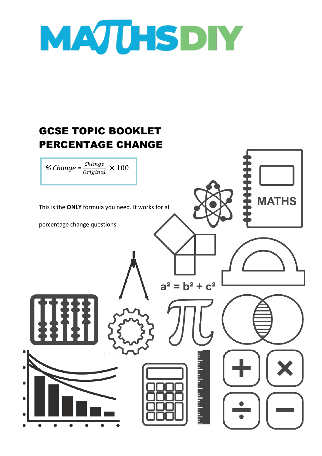

## GCSE TOPIC BOOKLET PERCENTAGE CHANGE

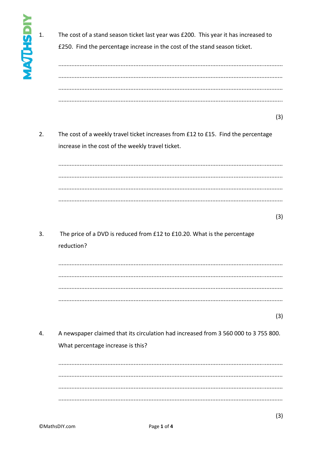$\overline{1}$ .

The cost of a stand season ticket last year was £200. This year it has increased to

£250. Find the percentage increase in the cost of the stand season ticket.

 $(3)$ 

 $2.$ The cost of a weekly travel ticket increases from £12 to £15. Find the percentage increase in the cost of the weekly travel ticket.

 $(3)$ 

 $\overline{3}$ . The price of a DVD is reduced from £12 to £10.20. What is the percentage reduction?

 $(3)$ 

 $\overline{4}$ . A newspaper claimed that its circulation had increased from 3 560 000 to 3 755 800. What percentage increase is this?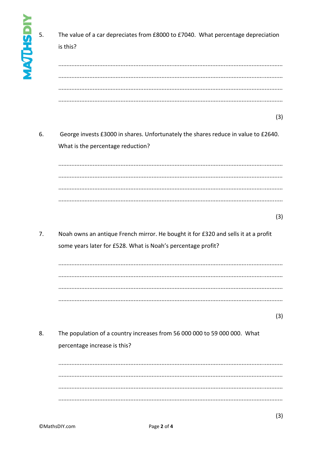| NAJUHSD<br>5. | The value of a car depreciates from £8000 to £7040. What percentage depreciation<br>is this?                                                       |
|---------------|----------------------------------------------------------------------------------------------------------------------------------------------------|
|               |                                                                                                                                                    |
| 6.            | (3)<br>George invests £3000 in shares. Unfortunately the shares reduce in value to £2640.<br>What is the percentage reduction?                     |
|               |                                                                                                                                                    |
|               | (3)                                                                                                                                                |
| 7.            | Noah owns an antique French mirror. He bought it for £320 and sells it at a profit<br>some years later for £528. What is Noah's percentage profit? |
|               |                                                                                                                                                    |
|               | (3)                                                                                                                                                |
| 8.            | The population of a country increases from 56 000 000 to 59 000 000. What<br>percentage increase is this?                                          |
|               |                                                                                                                                                    |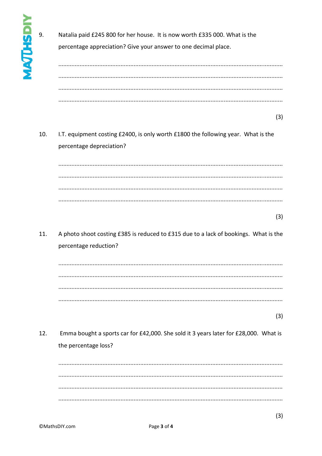9. Natalia paid £245 800 for her house. It is now worth £335 000. What is the percentage appreciation? Give your answer to one decimal place.  $(3)$  $10.$ I.T. equipment costing £2400, is only worth £1800 the following year. What is the percentage depreciation?  $(3)$ 11. A photo shoot costing £385 is reduced to £315 due to a lack of bookings. What is the percentage reduction?  $(3)$  $12.$ Emma bought a sports car for £42,000. She sold it 3 years later for £28,000. What is the percentage loss?